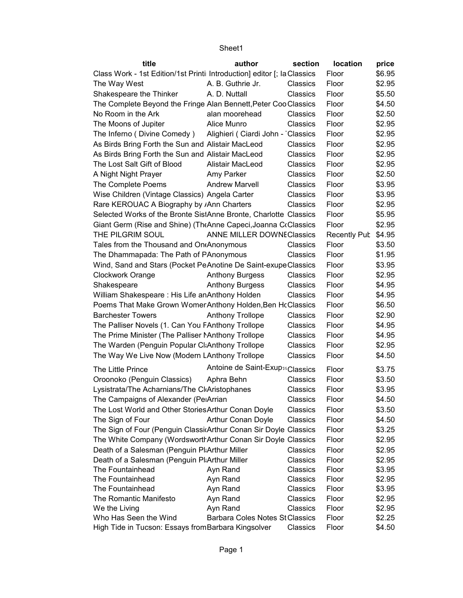| title                                                                   | author                                 | section  | location            | price  |
|-------------------------------------------------------------------------|----------------------------------------|----------|---------------------|--------|
| Class Work - 1st Edition/1st Printi Introduction] editor [; la Classics |                                        |          | Floor               | \$6.95 |
| The Way West                                                            | A. B. Guthrie Jr.                      | Classics | Floor               | \$2.95 |
| Shakespeare the Thinker                                                 | A. D. Nuttall                          | Classics | Floor               | \$5.50 |
| The Complete Beyond the Fringe Alan Bennett, Peter Coo Classics         |                                        |          | Floor               | \$4.50 |
| No Room in the Ark                                                      | alan moorehead                         | Classics | Floor               | \$2.50 |
| The Moons of Jupiter                                                    | Alice Munro                            | Classics | Floor               | \$2.95 |
| The Inferno (Divine Comedy)                                             | Alighieri (Ciardi John - Classics      |          | Floor               | \$2.95 |
| As Birds Bring Forth the Sun and Alistair MacLeod                       |                                        | Classics | Floor               | \$2.95 |
| As Birds Bring Forth the Sun and Alistair MacLeod                       |                                        | Classics | Floor               | \$2.95 |
| The Lost Salt Gift of Blood                                             | Alistair MacLeod                       | Classics | Floor               | \$2.95 |
| A Night Night Prayer                                                    | Amy Parker                             | Classics | Floor               | \$2.50 |
| The Complete Poems                                                      | <b>Andrew Marvell</b>                  | Classics | Floor               | \$3.95 |
|                                                                         |                                        | Classics | Floor               | \$3.95 |
| Wise Children (Vintage Classics) Angela Carter                          |                                        |          | Floor               | \$2.95 |
| Rare KEROUAC A Biography by <sub>/</sub> Ann Charters                   |                                        | Classics |                     |        |
| Selected Works of the Bronte SistAnne Bronte, Charlotte Classics        |                                        |          | Floor               | \$5.95 |
| Giant Germ (Rise and Shine) (The Anne Capeci, Joanna CoClassics         |                                        |          | Floor               | \$2.95 |
| THE PILGRIM SOUL                                                        | ANNE MILLER DOWNEClassics              |          | <b>Recently Pub</b> | \$4.95 |
| Tales from the Thousand and On Anonymous                                |                                        | Classics | Floor               | \$3.50 |
| The Dhammapada: The Path of PAnonymous                                  |                                        | Classics | Floor               | \$1.95 |
| Wind, Sand and Stars (Pocket PeAnotine De Saint-exupe Classics          |                                        |          | Floor               | \$3.95 |
| Clockwork Orange                                                        | <b>Anthony Burgess</b>                 | Classics | Floor               | \$2.95 |
| Shakespeare                                                             | <b>Anthony Burgess</b>                 | Classics | Floor               | \$4.95 |
| William Shakespeare: His Life an Anthony Holden                         |                                        | Classics | Floor               | \$4.95 |
| Poems That Make Grown Womer Anthony Holden, Ben HcClassics              |                                        |          | Floor               | \$6.50 |
| <b>Barchester Towers</b>                                                | <b>Anthony Trollope</b>                | Classics | Floor               | \$2.90 |
| The Palliser Novels (1. Can You FAnthony Trollope                       |                                        | Classics | Floor               | \$4.95 |
| The Prime Minister (The Palliser Manthony Trollope                      |                                        | Classics | Floor               | \$4.95 |
| The Warden (Penguin Popular CliAnthony Trollope                         |                                        | Classics | Floor               | \$2.95 |
| The Way We Live Now (Modern LAnthony Trollope                           |                                        | Classics | Floor               | \$4.50 |
| The Little Prince                                                       | Antoine de Saint-Exup51Classics        |          | Floor               | \$3.75 |
| Oroonoko (Penguin Classics)                                             | Aphra Behn                             | Classics | Floor               | \$3.50 |
| Lysistrata/The Acharnians/The CliAristophanes                           |                                        | Classics | Floor               | \$3.95 |
| The Campaigns of Alexander (PelArrian                                   |                                        | Classics | Floor               | \$4.50 |
| The Lost World and Other Stories Arthur Conan Doyle                     |                                        | Classics | Floor               | \$3.50 |
| The Sign of Four                                                        | Arthur Conan Doyle                     | Classics | Floor               | \$4.50 |
| The Sign of Four (Penguin Classi Arthur Conan Sir Doyle Classics        |                                        |          | Floor               | \$3.25 |
| The White Company (Wordsworth Arthur Conan Sir Doyle Classics           |                                        |          | Floor               | \$2.95 |
| Death of a Salesman (Penguin Planthur Miller                            |                                        | Classics | Floor               | \$2.95 |
| Death of a Salesman (Penguin Planthur Miller                            |                                        | Classics | Floor               | \$2.95 |
| The Fountainhead                                                        | Ayn Rand                               | Classics | Floor               | \$3.95 |
| The Fountainhead                                                        | Ayn Rand                               | Classics | Floor               | \$2.95 |
| The Fountainhead                                                        | Ayn Rand                               | Classics | Floor               | \$3.95 |
| The Romantic Manifesto                                                  | Ayn Rand                               | Classics | Floor               | \$2.95 |
| We the Living                                                           | Ayn Rand                               | Classics | Floor               | \$2.95 |
| Who Has Seen the Wind                                                   | <b>Barbara Coles Notes St Classics</b> |          | Floor               | \$2.25 |
| High Tide in Tucson: Essays from Barbara Kingsolver                     |                                        | Classics | Floor               | \$4.50 |
|                                                                         |                                        |          |                     |        |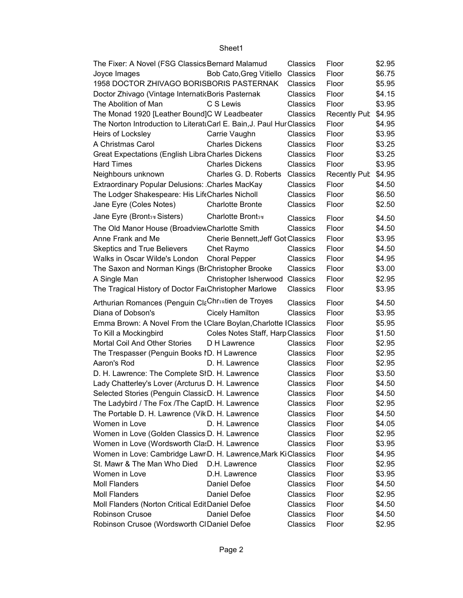| The Fixer: A Novel (FSG Classics Bernard Malamud                     |                                   | Classics             | Floor               | \$2.95           |
|----------------------------------------------------------------------|-----------------------------------|----------------------|---------------------|------------------|
| Joyce Images                                                         | Bob Cato, Greg Vitiello           | Classics             | Floor               | \$6.75           |
| 1958 DOCTOR ZHIVAGO BORISBORIS PASTERNAK                             |                                   | Classics             | Floor               | \$5.95           |
| Doctor Zhivago (Vintage InternaticBoris Pasternak                    |                                   | Classics             | Floor               | \$4.15           |
| The Abolition of Man                                                 | C S Lewis                         | Classics             | Floor               | \$3.95           |
| The Monad 1920 [Leather Bound]C W Leadbeater                         |                                   | Classics             | <b>Recently Pub</b> | \$4.95           |
| The Norton Introduction to LiterattCarl E. Bain, J. Paul HurClassics |                                   |                      | Floor               | \$4.95           |
| Heirs of Locksley                                                    | Carrie Vaughn                     | Classics             | Floor               | \$3.95           |
| A Christmas Carol                                                    | <b>Charles Dickens</b>            | Classics             | Floor               | \$3.25           |
| Great Expectations (English Libra Charles Dickens                    |                                   | Classics             | Floor               | \$3.25           |
| <b>Hard Times</b>                                                    | <b>Charles Dickens</b>            | Classics             | Floor               | \$3.95           |
| Neighbours unknown                                                   | Charles G. D. Roberts Classics    |                      | <b>Recently Pub</b> | \$4.95           |
| Extraordinary Popular Delusions: Charles MacKay                      |                                   | Classics             | Floor               | \$4.50           |
| The Lodger Shakespeare: His LifeCharles Nicholl                      |                                   | Classics             | Floor               | \$6.50           |
| Jane Eyre (Coles Notes)                                              | <b>Charlotte Bronte</b>           | Classics             | Floor               | \$2.50           |
| Jane Eyre (Brontsw Sisters)                                          | Charlotte Bronts                  | Classics             | Floor               | \$4.50           |
| The Old Manor House (Broadview Charlotte Smith                       |                                   | Classics             | Floor               | \$4.50           |
| Anne Frank and Me                                                    | Cherie Bennett, Jeff Got Classics |                      | Floor               | \$3.95           |
| <b>Skeptics and True Believers</b>                                   | Chet Raymo                        | Classics             | Floor               | \$4.50           |
| Walks in Oscar Wilde's London                                        | <b>Choral Pepper</b>              | Classics             | Floor               | \$4.95           |
| The Saxon and Norman Kings (BrChristopher Brooke                     |                                   | Classics             | Floor               | \$3.00           |
| A Single Man                                                         | Christopher Isherwood Classics    |                      | Floor               | \$2.95           |
| The Tragical History of Doctor FarChristopher Marlowe                |                                   | Classics             | Floor               | \$3.95           |
|                                                                      |                                   |                      |                     |                  |
|                                                                      |                                   |                      |                     |                  |
| Arthurian Romances (Penguin ClaChrsatien de Troyes                   |                                   | Classics             | Floor               | \$4.50           |
| Diana of Dobson's                                                    | <b>Cicely Hamilton</b>            | Classics             | Floor               | \$3.95           |
| Emma Brown: A Novel From the IClare Boylan, Charlotte IClassics      |                                   |                      | Floor               | \$5.95           |
| To Kill a Mockingbird                                                | Coles Notes Staff, Harp Classics  |                      | Floor               | \$1.50           |
| Mortal Coil And Other Stories                                        | D H Lawrence                      | Classics             | Floor               | \$2.95           |
| The Trespasser (Penguin Books ID. H Lawrence                         |                                   | Classics             | Floor               | \$2.95           |
| Aaron's Rod                                                          | D. H. Lawrence                    | Classics             | Floor               | \$2.95           |
| D. H. Lawrence: The Complete SID. H. Lawrence                        |                                   | Classics             | Floor               | \$3.50           |
| Lady Chatterley's Lover (Arcturus D. H. Lawrence                     |                                   | Classics             | Floor               | \$4.50           |
| Selected Stories (Penguin ClassicD. H. Lawrence                      |                                   | Classics             | Floor               | \$4.50           |
| The Ladybird / The Fox / The CapID. H. Lawrence                      |                                   | Classics             | Floor               | \$2.95           |
| The Portable D. H. Lawrence (Vik D. H. Lawrence                      |                                   | Classics             | Floor               | \$4.50           |
| Women in Love                                                        | D. H. Lawrence                    | Classics             | Floor               | \$4.05           |
| Women in Love (Golden Classics D. H. Lawrence                        |                                   | Classics             | Floor               | \$2.95           |
| Women in Love (Wordsworth Cla:D. H. Lawrence                         |                                   | Classics             | Floor               | \$3.95           |
| Women in Love: Cambridge Lawr D. H. Lawrence, Mark KiClassics        |                                   |                      | Floor               | \$4.95           |
| St. Mawr & The Man Who Died                                          | D.H. Lawrence                     | Classics             | Floor               | \$2.95           |
| Women in Love                                                        | D.H. Lawrence                     | Classics             | Floor               | \$3.95           |
| <b>Moll Flanders</b>                                                 | Daniel Defoe                      | Classics             | Floor               | \$4.50           |
| <b>Moll Flanders</b>                                                 | Daniel Defoe                      | Classics             | Floor               | \$2.95           |
| Moll Flanders (Norton Critical EditDaniel Defoe                      |                                   | Classics             | Floor               | \$4.50           |
| Robinson Crusoe<br>Robinson Crusoe (Wordsworth CIDaniel Defoe        | Daniel Defoe                      | Classics<br>Classics | Floor<br>Floor      | \$4.50<br>\$2.95 |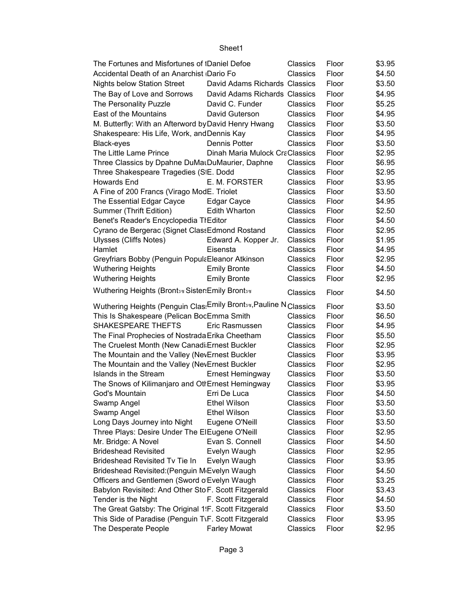#### \$3.95 \$4.50 \$3.50 \$4.95 \$5.25 \$4.95 \$3.50 Shakespeare: His Life, Work, and Dennis Kay Classics Floor \$4.95 Black-eyes Dennis Potter Classics Floor \$3.50 The Little Lame Prince **Dinah Maria Mulock Craciassics** Floor \$2.95 Three Classics by Dpahne DuMauDuMaurier, Daphne Classics Floor \$6.95 Three Shakespeare Tragedies (SIE. Dodd Classics Floor \$2.95 Howards End E. M. FORSTER Classics Floor \$3.95 A Fine of 200 Francs (Virago ModE. Triolet Classics Floor \$3.50 The Essential Edgar Cayce Edgar Cayce Classics Floor \$4.95 Summer (Thrift Edition) Edith Wharton Classics Floor \$2.50 Benet's Reader's Encyclopedia The Editor **Edition Edition Editor** Classics Floor \$4.50 Cyrano de Bergerac (Signet Class Edmond Rostand Classics Floor \$2.95 Ulysses (Cliffs Notes) Edward A. Kopper Jr. Classics Floor \$1.95 Hamlet Eisensta Classics Floor \$4.95 Greyfriars Bobby (Penguin Popula Eleanor Atkinson Classics Floor \$2.95 Wuthering Heights **Emily Bronte** Classics Floor \$4.50 Wuthering Heights **Emily Bronte** Classics Floor \$2.95 Classics Floor \$4.50 Wuthering Heights (Penguin Clas: Emily Brontss, Pauline N Classics Floor \$3.50 This Is Shakespeare (Pelican BocEmma Smith Classics Floor \$6.50 SHAKESPEARE THEFTS Eric Rasmussen Classics Floor \$4.95 The Final Prophecies of Nostrada Erika Cheetham Classics Floor \$5.50 The Cruelest Month (New Canadi Ernest Buckler Classics Floor \$2.95 The Mountain and the Valley (Nev Ernest Buckler Classics Floor \$3.95 The Mountain and the Valley (Nev Ernest Buckler Classics Floor \$2.95 Islands in the Stream Ernest Hemingway Classics Floor \$3.50 The Snows of Kilimaniaro and Other Stemingway Classics Floor \$3.95 God's Mountain Erri De Luca Classics Floor \$4.50 Swamp Angel Ethel Wilson Classics Floor \$3.50 Swamp Angel Ethel Wilson Classics Floor \$3.50 Long Days Journey into Night Eugene O'Neill Classics Floor \$3.50 Three Plays: Desire Under The ElEugene O'Neill Classics Floor \$2.95 Mr. Bridge: A Novel Evan S. Connell Classics Floor \$4.50 Brideshead Revisited Evelyn Waugh Classics Floor \$2.95 Brideshead Revisited Tv Tie In Evelyn Waugh Classics Floor \$3.95 Brideshead Revisited:(Penguin M<sub>i</sub> Evelyn Waugh Classics Floor \$4.50 Officers and Gentlemen (Sword of Evelyn Waugh Classics Floor \$3.25 Babylon Revisited: And Other Sto F. Scott Fitzgerald Classics Floor \$3.43 Tender is the Night **F. Scott Fitzgerald** Classics Floor \$4.50 The Great Gatsby: The Original 1.F. Scott Fitzgerald Classics Floor \$3.50 This Side of Paradise (Penguin T\F. Scott Fitzgerald Classics Floor \$3.95 The Desperate People Farley Mowat Classics Floor \$2.95 The Fortunes and Misfortunes of Daniel Defoe Classics Floor Accidental Death of an Anarchist Dario Fo Classics Floor Nights below Station Street David Adams Richards Classics Floor The Bay of Love and Sorrows David Adams Richards Classics Floor The Personality Puzzle David C. Funder Classics Floor East of the Mountains David Guterson Classics Floor M. Butterfly: With an Afterword by David Henry Hwang Classics Floor **Wuthering Heights (Brontsซ Sister:Emily Brontsซ**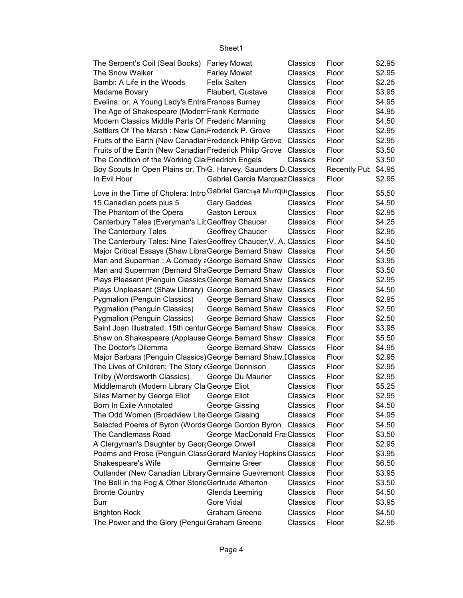| The Serpent's Coil (Seal Books) Farley Mowat                                  |                                | Classics | Floor               | \$2.95 |
|-------------------------------------------------------------------------------|--------------------------------|----------|---------------------|--------|
| The Snow Walker                                                               | <b>Farley Mowat</b>            | Classics | Floor               | \$2.95 |
| Bambi: A Life in the Woods                                                    | <b>Felix Salten</b>            | Classics | Floor               | \$2.25 |
| Madame Bovary                                                                 | Flaubert, Gustave              | Classics | Floor               | \$3.95 |
| Evelina: or, A Young Lady's Entra Frances Burney                              |                                | Classics | Floor               | \$4.95 |
| The Age of Shakespeare (Moderr Frank Kermode                                  |                                | Classics | Floor               | \$4.95 |
| Modern Classics Middle Parts Of Frederic Manning                              |                                | Classics | Floor               | \$4.50 |
| Settlers Of The Marsh: New CanaFrederick P. Grove                             |                                | Classics | Floor               | \$2.95 |
| Fruits of the Earth (New Canadiar Frederick Philip Grove                      |                                | Classics | Floor               | \$2.95 |
| Fruits of the Earth (New Canadiar Frederick Philip Grove                      |                                | Classics | Floor               | \$3.50 |
| The Condition of the Working Cla: Friedrich Engels                            |                                | Classics | Floor               | \$3.50 |
| Boy Scouts In Open Plains or, Th <sub>'</sub> G. Harvey. Saunders D. Classics |                                |          | Recently Pub \$4.95 |        |
| In Evil Hour                                                                  | Gabriel Garcia MarquezClassics |          | Floor               | \$2.95 |
| Love in the Time of Cholera: Intro Gabriel Garcsaya MsnrqueClassics           |                                |          |                     |        |
|                                                                               |                                |          | Floor               | \$5.50 |
| 15 Canadian poets plus 5                                                      | <b>Gary Geddes</b>             | Classics | Floor               | \$4.50 |
| The Phantom of the Opera                                                      | <b>Gaston Leroux</b>           | Classics | Floor               | \$2.95 |
| Canterbury Tales (Everyman's LibGeoffrey Chaucer                              |                                | Classics | Floor               | \$4.25 |
| The Canterbury Tales                                                          | Geoffrey Chaucer               | Classics | Floor               | \$2.95 |
| The Canterbury Tales: Nine TalesGeoffrey Chaucer, V. A. Classics              |                                |          | Floor               | \$4.50 |
| Major Critical Essays (Shaw Libra George Bernard Shaw Classics                |                                |          | Floor               | \$4.50 |
| Man and Superman: A Comedy a George Bernard Shaw Classics                     |                                |          | Floor               | \$3.95 |
| Man and Superman (Bernard ShaGeorge Bernard Shaw Classics                     |                                |          | Floor               | \$3.50 |
| Plays Pleasant (Penguin Classics George Bernard Shaw Classics                 |                                |          | Floor               | \$2.95 |
| Plays Unpleasant (Shaw Library) George Bernard Shaw Classics                  |                                |          | Floor               | \$4.50 |
| Pygmalion (Penguin Classics)                                                  | George Bernard Shaw Classics   |          | Floor               | \$2.95 |
| Pygmalion (Penguin Classics)                                                  | George Bernard Shaw Classics   |          | Floor               | \$2.50 |
| Pygmalion (Penguin Classics)                                                  | George Bernard Shaw Classics   |          | Floor               | \$2.50 |
| Saint Joan Illustrated: 15th centur George Bernard Shaw Classics              |                                |          | Floor               | \$3.95 |
| Shaw on Shakespeare (Applause George Bernard Shaw Classics                    |                                |          | Floor               | \$5.50 |
| The Doctor's Dilemma                                                          | George Bernard Shaw Classics   |          | Floor               | \$4.95 |
| Major Barbara (Penguin Classics) George Bernard Shaw, I Classics              |                                |          | Floor               | \$2.95 |
| The Lives of Children: The Story (George Dennison                             |                                | Classics | Floor               | \$2.95 |
| Trilby (Wordsworth Classics)                                                  | George Du Maurier              | Classics | Floor               | \$2.95 |
| Middlemarch (Modern Library Cla George Eliot                                  |                                | Classics | Floor               | \$5.25 |
| Silas Marner by George Eliot George Eliot                                     |                                | Classics | Floor               | \$2.95 |
| Born In Exile Annotated                                                       | George Gissing                 | Classics | Floor               | \$4.50 |
| The Odd Women (Broadview Lite George Gissing                                  |                                | Classics | Floor               | \$4.95 |
| Selected Poems of Byron (Words George Gordon Byron                            |                                | Classics | Floor               | \$4.50 |
| The Candlemass Road                                                           | George MacDonald Fra Classics  |          | Floor               | \$3.50 |
| A Clergyman's Daughter by Geor(George Orwell                                  |                                | Classics | Floor               | \$2.95 |
| Poems and Prose (Penguin ClassGerard Manley Hopkins Classics                  |                                |          | Floor               | \$3.95 |
| Shakespeare's Wife                                                            | <b>Germaine Greer</b>          | Classics | Floor               | \$6.50 |
| Outlander (New Canadian Library Germaine Guevremont Classics                  |                                |          | Floor               | \$3.95 |
| The Bell in the Fog & Other StorieGertrude Atherton                           |                                | Classics | Floor               | \$3.50 |
| <b>Bronte Country</b>                                                         | Glenda Leeming                 | Classics | Floor               | \$4.50 |
| <b>Burr</b>                                                                   | <b>Gore Vidal</b>              | Classics | Floor               | \$3.95 |
| <b>Brighton Rock</b>                                                          | <b>Graham Greene</b>           | Classics | Floor               | \$4.50 |
|                                                                               |                                |          |                     |        |
| The Power and the Glory (Pengui Graham Greene                                 |                                | Classics | Floor               | \$2.95 |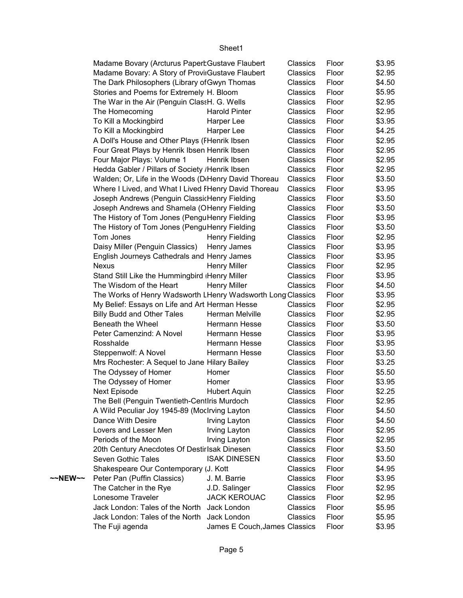|         | Madame Bovary (Arcturus Papert Gustave Flaubert             |                               | Classics        | Floor | \$3.95 |
|---------|-------------------------------------------------------------|-------------------------------|-----------------|-------|--------|
|         | Madame Bovary: A Story of ProviiGustave Flaubert            |                               | Classics        | Floor | \$2.95 |
|         | The Dark Philosophers (Library of Gwyn Thomas               |                               | Classics        | Floor | \$4.50 |
|         | Stories and Poems for Extremely H. Bloom                    |                               | Classics        | Floor | \$5.95 |
|         | The War in the Air (Penguin ClassH. G. Wells                |                               | Classics        | Floor | \$2.95 |
|         | The Homecoming                                              | <b>Harold Pinter</b>          | Classics        | Floor | \$2.95 |
|         | To Kill a Mockingbird                                       | Harper Lee                    | Classics        | Floor | \$3.95 |
|         | To Kill a Mockingbird                                       | Harper Lee                    | Classics        | Floor | \$4.25 |
|         | A Doll's House and Other Plays (FHenrik Ibsen               |                               | Classics        | Floor | \$2.95 |
|         | Four Great Plays by Henrik Ibsen Henrik Ibsen               |                               | Classics        | Floor | \$2.95 |
|         | Four Major Plays: Volume 1                                  | Henrik Ibsen                  | Classics        | Floor | \$2.95 |
|         | Hedda Gabler / Pillars of Society / Henrik Ibsen            |                               | Classics        | Floor | \$2.95 |
|         | Walden; Or, Life in the Woods (DiHenry David Thoreau        |                               | Classics        | Floor | \$3.50 |
|         | Where I Lived, and What I Lived FHenry David Thoreau        |                               | Classics        | Floor | \$3.95 |
|         | Joseph Andrews (Penguin ClassicHenry Fielding               |                               | Classics        | Floor | \$3.50 |
|         | Joseph Andrews and Shamela (OHenry Fielding                 |                               | Classics        | Floor | \$3.50 |
|         | The History of Tom Jones (PenguHenry Fielding               |                               | <b>Classics</b> | Floor | \$3.95 |
|         | The History of Tom Jones (PenguHenry Fielding               |                               | Classics        | Floor | \$3.50 |
|         | Tom Jones                                                   | Henry Fielding                | Classics        | Floor | \$2.95 |
|         | Daisy Miller (Penguin Classics)                             | Henry James                   | Classics        | Floor | \$3.95 |
|         | English Journeys Cathedrals and Henry James                 |                               | Classics        | Floor | \$3.95 |
|         | <b>Nexus</b>                                                | <b>Henry Miller</b>           | Classics        | Floor | \$2.95 |
|         | Stand Still Like the Hummingbird (Henry Miller              |                               | Classics        | Floor | \$3.95 |
|         | The Wisdom of the Heart                                     | <b>Henry Miller</b>           | Classics        | Floor | \$4.50 |
|         | The Works of Henry Wadsworth LHenry Wadsworth Long Classics |                               |                 | Floor | \$3.95 |
|         | My Belief: Essays on Life and Art Herman Hesse              |                               | Classics        | Floor | \$2.95 |
|         | <b>Billy Budd and Other Tales</b>                           | Herman Melville               | Classics        | Floor | \$2.95 |
|         | Beneath the Wheel                                           | Hermann Hesse                 | Classics        | Floor | \$3.50 |
|         | Peter Camenzind: A Novel                                    | Hermann Hesse                 | Classics        | Floor | \$3.95 |
|         | Rosshalde                                                   | Hermann Hesse                 | Classics        | Floor | \$3.95 |
|         | Steppenwolf: A Novel                                        | Hermann Hesse                 | Classics        | Floor | \$3.50 |
|         | Mrs Rochester: A Sequel to Jane Hilary Bailey               |                               | Classics        | Floor | \$3.25 |
|         | The Odyssey of Homer                                        | Homer                         | Classics        | Floor | \$5.50 |
|         | The Odyssey of Homer                                        | Homer                         | Classics        | Floor | \$3.95 |
|         | <b>Next Episode</b>                                         | <b>Hubert Aquin</b>           | Classics        | Floor | \$2.25 |
|         | The Bell (Penguin Twentieth-CentIris Murdoch                |                               | Classics        | Floor | \$2.95 |
|         | A Wild Peculiar Joy 1945-89 (MocIrving Layton               |                               | Classics        | Floor | \$4.50 |
|         | Dance With Desire                                           | Irving Layton                 | Classics        | Floor | \$4.50 |
|         | Lovers and Lesser Men                                       | <b>Irving Layton</b>          | Classics        | Floor | \$2.95 |
|         | Periods of the Moon                                         | Irving Layton                 | Classics        | Floor | \$2.95 |
|         | 20th Century Anecdotes Of Destir Isak Dinesen               |                               | Classics        | Floor | \$3.50 |
|         | Seven Gothic Tales                                          | <b>ISAK DINESEN</b>           | Classics        | Floor | \$3.50 |
|         |                                                             |                               | Classics        |       |        |
|         | Shakespeare Our Contemporary (J. Kott                       |                               |                 | Floor | \$4.95 |
| ~~NEW~~ | Peter Pan (Puffin Classics)                                 | J. M. Barrie                  | Classics        | Floor | \$3.95 |
|         | The Catcher in the Rye                                      | J.D. Salinger                 | Classics        | Floor | \$2.95 |
|         | Lonesome Traveler                                           | <b>JACK KEROUAC</b>           | Classics        | Floor | \$2.95 |
|         | Jack London: Tales of the North                             | Jack London                   | Classics        | Floor | \$5.95 |
|         | Jack London: Tales of the North                             | Jack London                   | Classics        | Floor | \$5.95 |
|         | The Fuji agenda                                             | James E Couch, James Classics |                 | Floor | \$3.95 |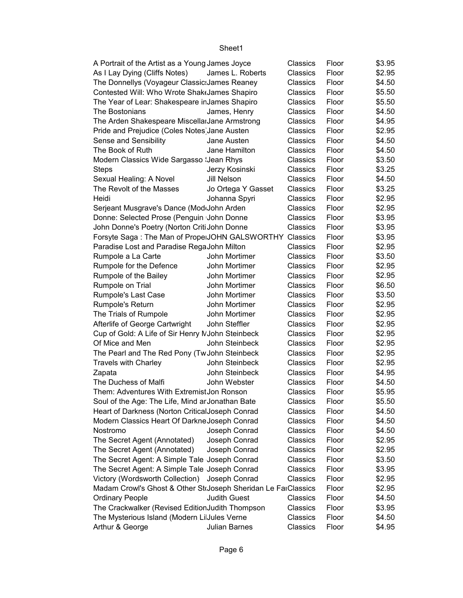| A Portrait of the Artist as a Young James Joyce               |                     | Classics | Floor | \$3.95 |
|---------------------------------------------------------------|---------------------|----------|-------|--------|
| As I Lay Dying (Cliffs Notes)                                 | James L. Roberts    | Classics | Floor | \$2.95 |
| The Donnellys (Voyageur Classic: James Reaney                 |                     | Classics | Floor | \$4.50 |
| Contested Will: Who Wrote Shak(James Shapiro                  |                     | Classics | Floor | \$5.50 |
| The Year of Lear: Shakespeare inJames Shapiro                 |                     | Classics | Floor | \$5.50 |
| The Bostonians                                                | James, Henry        | Classics | Floor | \$4.50 |
| The Arden Shakespeare MiscellarJane Armstrong                 |                     | Classics | Floor | \$4.95 |
| Pride and Prejudice (Coles Notes Jane Austen                  |                     | Classics | Floor | \$2.95 |
| Sense and Sensibility                                         | Jane Austen         | Classics | Floor | \$4.50 |
| The Book of Ruth                                              | Jane Hamilton       | Classics | Floor | \$4.50 |
| Modern Classics Wide Sargasso : Jean Rhys                     |                     | Classics | Floor | \$3.50 |
| <b>Steps</b>                                                  | Jerzy Kosinski      | Classics | Floor | \$3.25 |
| Sexual Healing: A Novel                                       | Jill Nelson         | Classics | Floor | \$4.50 |
| The Revolt of the Masses                                      | Jo Ortega Y Gasset  | Classics | Floor | \$3.25 |
| Heidi                                                         | Johanna Spyri       | Classics | Floor | \$2.95 |
| Serjeant Musgrave's Dance (ModdJohn Arden                     |                     | Classics | Floor | \$2.95 |
| Donne: Selected Prose (Penguin John Donne                     |                     | Classics | Floor | \$3.95 |
| John Donne's Poetry (Norton Criti John Donne                  |                     | Classics | Floor | \$3.95 |
| Forsyte Saga: The Man of Prope JOHN GALSWORTHY Classics       |                     |          | Floor | \$3.95 |
| Paradise Lost and Paradise RegaJohn Milton                    |                     | Classics | Floor | \$2.95 |
| Rumpole a La Carte                                            | John Mortimer       | Classics | Floor | \$3.50 |
| Rumpole for the Defence                                       | John Mortimer       | Classics | Floor | \$2.95 |
| Rumpole of the Bailey                                         | John Mortimer       | Classics | Floor | \$2.95 |
| Rumpole on Trial                                              | John Mortimer       | Classics | Floor | \$6.50 |
| Rumpole's Last Case                                           | John Mortimer       | Classics | Floor | \$3.50 |
| Rumpole's Return                                              | John Mortimer       | Classics | Floor | \$2.95 |
| The Trials of Rumpole                                         | John Mortimer       | Classics | Floor | \$2.95 |
| Afterlife of George Cartwright                                | John Steffler       | Classics | Floor | \$2.95 |
| Cup of Gold: A Life of Sir Henry MJohn Steinbeck              |                     | Classics | Floor | \$2.95 |
| Of Mice and Men                                               | John Steinbeck      | Classics | Floor | \$2.95 |
| The Pearl and The Red Pony (Tw John Steinbeck                 |                     | Classics | Floor | \$2.95 |
| <b>Travels with Charley</b>                                   | John Steinbeck      | Classics | Floor | \$2.95 |
| Zapata                                                        | John Steinbeck      | Classics | Floor | \$4.95 |
| The Duchess of Malfi                                          | John Webster        | Classics | Floor | \$4.50 |
| Them: Adventures With Extremist Jon Ronson                    |                     | Classics | Floor | \$5.95 |
| Soul of the Age: The Life, Mind ar Jonathan Bate              |                     | Classics | Floor | \$5.50 |
| Heart of Darkness (Norton CriticalJoseph Conrad               |                     | Classics | Floor | \$4.50 |
| Modern Classics Heart Of Darkne Joseph Conrad                 |                     | Classics | Floor | \$4.50 |
| Nostromo                                                      | Joseph Conrad       | Classics | Floor | \$4.50 |
| The Secret Agent (Annotated)                                  | Joseph Conrad       | Classics | Floor | \$2.95 |
| The Secret Agent (Annotated)                                  | Joseph Conrad       | Classics | Floor | \$2.95 |
| The Secret Agent: A Simple Tale Joseph Conrad                 |                     | Classics | Floor | \$3.50 |
| The Secret Agent: A Simple Tale Joseph Conrad                 |                     | Classics | Floor | \$3.95 |
| Victory (Wordsworth Collection)                               | Joseph Conrad       | Classics | Floor | \$2.95 |
| Madam Crowl's Ghost & Other StoJoseph Sheridan Le FarClassics |                     |          | Floor | \$2.95 |
| <b>Ordinary People</b>                                        | <b>Judith Guest</b> | Classics | Floor | \$4.50 |
| The Crackwalker (Revised EditionJudith Thompson               |                     | Classics | Floor | \$3.95 |
| The Mysterious Island (Modern LiJules Verne                   |                     | Classics | Floor | \$4.50 |
| Arthur & George                                               | Julian Barnes       | Classics | Floor | \$4.95 |
|                                                               |                     |          |       |        |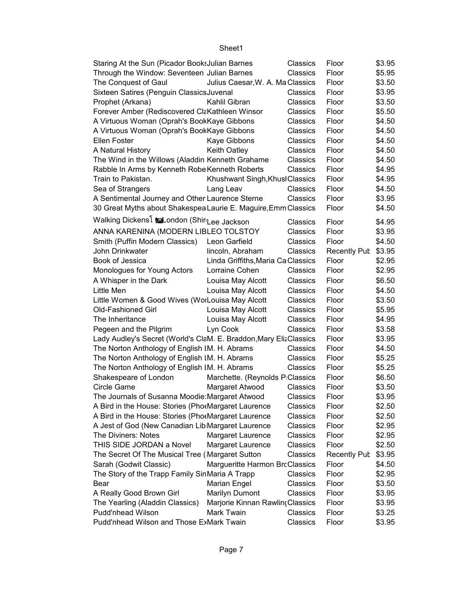| Staring At the Sun (Picador Books Julian Barnes                   |                                    | Classics        | Floor               | \$3.95 |
|-------------------------------------------------------------------|------------------------------------|-----------------|---------------------|--------|
| Through the Window: Seventeen Julian Barnes                       |                                    | Classics        | Floor               | \$5.95 |
| The Conquest of Gaul                                              | Julius Caesar, W. A. Ma Classics   |                 | Floor               | \$3.50 |
| Sixteen Satires (Penguin Classics Juvenal                         |                                    | Classics        | Floor               | \$3.95 |
| Prophet (Arkana)                                                  | Kahlil Gibran                      | Classics        | Floor               | \$3.50 |
| Forever Amber (Rediscovered ClaKathleen Winsor                    |                                    | Classics        | Floor               | \$5.50 |
| A Virtuous Woman (Oprah's BookKaye Gibbons                        |                                    | Classics        | Floor               | \$4.50 |
| A Virtuous Woman (Oprah's BookKaye Gibbons                        |                                    | <b>Classics</b> | Floor               | \$4.50 |
| Ellen Foster                                                      | Kaye Gibbons                       | Classics        | Floor               | \$4.50 |
| A Natural History                                                 | <b>Keith Oatley</b>                | Classics        | Floor               | \$4.50 |
| The Wind in the Willows (Aladdin Kenneth Grahame                  |                                    | Classics        | Floor               | \$4.50 |
| Rabble In Arms by Kenneth Robe Kenneth Roberts                    |                                    | Classics        | Floor               | \$4.95 |
| Train to Pakistan.                                                | Khushwant Singh, Khusł Classics    |                 | Floor               | \$4.95 |
| Sea of Strangers                                                  | Lang Leav                          | Classics        | Floor               | \$4.50 |
| A Sentimental Journey and Other Laurence Sterne                   |                                    | Classics        | Floor               | \$3.95 |
| 30 Great Myths about Shakespea Laurie E. Maguire, Emm Classics    |                                    |                 | Floor               | \$4.50 |
| Walking Dickens <sup>[</sup> Malondon (ShirLee Jackson            |                                    | Classics        | Floor               | \$4.95 |
| ANNA KARENINA (MODERN LIBLEO TOLSTOY                              |                                    | Classics        | Floor               | \$3.95 |
| Smith (Puffin Modern Classics)                                    | Leon Garfield                      | Classics        | Floor               | \$4.50 |
| John Drinkwater                                                   | lincoln, Abraham                   | Classics        | Recently Pub \$3.95 |        |
| Book of Jessica                                                   | Linda Griffiths, Maria Ca Classics |                 | Floor               | \$2.95 |
| Monologues for Young Actors                                       | Lorraine Cohen                     | Classics        | Floor               | \$2.95 |
| A Whisper in the Dark                                             | Louisa May Alcott                  | Classics        | Floor               | \$6.50 |
| Little Men                                                        | Louisa May Alcott                  | Classics        | Floor               | \$4.50 |
| Little Women & Good Wives (WorLouisa May Alcott                   |                                    | Classics        | Floor               | \$3.50 |
| <b>Old-Fashioned Girl</b>                                         | Louisa May Alcott                  | Classics        | Floor               | \$5.95 |
| The Inheritance                                                   | Louisa May Alcott                  | Classics        | Floor               | \$4.95 |
| Pegeen and the Pilgrim                                            | Lyn Cook                           | Classics        | Floor               | \$3.58 |
| Lady Audley's Secret (World's ClaM. E. Braddon, Mary ElizClassics |                                    |                 | Floor               | \$3.95 |
| The Norton Anthology of English IM. H. Abrams                     |                                    | Classics        | Floor               | \$4.50 |
| The Norton Anthology of English IM. H. Abrams                     |                                    | Classics        | Floor               | \$5.25 |
| The Norton Anthology of English IM. H. Abrams                     |                                    | Classics        | Floor               | \$5.25 |
| Shakespeare of London                                             | Marchette. (Reynolds PiClassics    |                 | Floor               | \$6.50 |
| Circle Game                                                       | Margaret Atwood                    | Classics        | Floor               | \$3.50 |
| The Journals of Susanna Moodie: Margaret Atwood                   |                                    | Classics        | Floor               | \$3.95 |
| A Bird in the House: Stories (PhotMargaret Laurence               |                                    | Classics        | Floor               | \$2.50 |
| A Bird in the House: Stories (PhotMargaret Laurence               |                                    | Classics        | Floor               | \$2.50 |
| A Jest of God (New Canadian Lib Margaret Laurence                 |                                    | Classics        | Floor               | \$2.95 |
| <b>The Diviners: Notes</b>                                        | Margaret Laurence                  | Classics        | Floor               | \$2.95 |
| THIS SIDE JORDAN a Novel                                          | Margaret Laurence                  | Classics        | Floor               | \$2.50 |
| The Secret Of The Musical Tree (Margaret Sutton                   |                                    | Classics        | <b>Recently Pub</b> | \$3.95 |
| Sarah (Godwit Classic)                                            | Margueritte Harmon BrcClassics     |                 | Floor               | \$4.50 |
| The Story of the Trapp Family SinMaria A Trapp                    |                                    | Classics        | Floor               | \$2.95 |
| Bear                                                              | Marian Engel                       | Classics        | Floor               | \$3.50 |
| A Really Good Brown Girl                                          | Marilyn Dumont                     | Classics        | Floor               | \$3.95 |
| The Yearling (Aladdin Classics)                                   | Marjorie Kinnan Rawling Classics   |                 | Floor               | \$3.95 |
| Pudd'nhead Wilson                                                 | Mark Twain                         | Classics        | Floor               | \$3.25 |
| Pudd'nhead Wilson and Those E>Mark Twain                          |                                    | Classics        | Floor               | \$3.95 |
|                                                                   |                                    |                 |                     |        |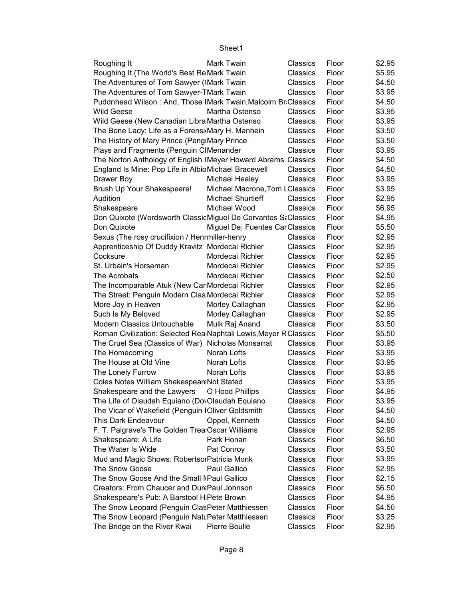| Roughing It                                                       | Mark Twain                     | Classics | Floor | \$2.95 |
|-------------------------------------------------------------------|--------------------------------|----------|-------|--------|
| Roughing It (The World's Best ReMark Twain                        |                                | Classics | Floor | \$5.95 |
| The Adventures of Tom Sawyer (Mark Twain                          |                                | Classics | Floor | \$4.50 |
| The Adventures of Tom Sawyer-TMark Twain                          |                                | Classics | Floor | \$3.95 |
| Puddnhead Wilson: And, Those IMark Twain, Malcolm BriClassics     |                                |          | Floor | \$4.50 |
| <b>Wild Geese</b>                                                 | Martha Ostenso                 | Classics | Floor | \$3.95 |
| Wild Geese (New Canadian Libra Martha Ostenso                     |                                | Classics | Floor | \$3.95 |
| The Bone Lady: Life as a Forensi Mary H. Manhein                  |                                | Classics | Floor | \$3.50 |
| The History of Mary Prince (Peng Mary Prince                      |                                | Classics | Floor | \$3.50 |
| Plays and Fragments (Penguin CIMenander                           |                                | Classics | Floor | \$3.95 |
| The Norton Anthology of English IMeyer Howard Abrams Classics     |                                |          | Floor | \$4.50 |
| England Is Mine: Pop Life in AlbioMichael Bracewell               |                                | Classics | Floor | \$4.50 |
| Drawer Boy                                                        | Michael Healey                 | Classics | Floor | \$3.95 |
| Brush Up Your Shakespeare!                                        | Michael Macrone, Tom LClassics |          | Floor | \$3.95 |
| Audition                                                          | Michael Shurtleff              | Classics | Floor | \$2.95 |
| Shakespeare                                                       | Michael Wood                   | Classics | Floor | \$6.95 |
| Don Quixote (Wordsworth ClassicMiguel De Cervantes SaClassics     |                                |          | Floor | \$4.95 |
| Don Quixote                                                       | Miguel De; Fuentes CarClassics |          | Floor | \$5.50 |
| Sexus (The rosy crucifixion / Henrmiller-henry                    |                                | Classics | Floor | \$2.95 |
| Apprenticeship Of Duddy Kravitz Mordecai Richler                  |                                | Classics | Floor | \$2.95 |
| Cocksure                                                          | Mordecai Richler               | Classics | Floor | \$2.95 |
| St. Urbain's Horseman                                             | Mordecai Richler               | Classics | Floor | \$2.95 |
| The Acrobats                                                      | Mordecai Richler               | Classics | Floor | \$2.50 |
| The Incomparable Atuk (New CarMordecai Richler                    |                                | Classics | Floor | \$2.95 |
| The Street: Penguin Modern Clas Mordecai Richler                  |                                | Classics | Floor | \$2.95 |
| More Joy in Heaven                                                | Morley Callaghan               | Classics | Floor | \$2.95 |
| Such Is My Beloved                                                | Morley Callaghan               | Classics | Floor | \$2.95 |
| Modern Classics Untouchable                                       | Mulk Raj Anand                 | Classics | Floor | \$3.50 |
| Roman Civilization: Selected Rea Naphtali Lewis, Meyer R Classics |                                |          | Floor | \$5.50 |
| The Cruel Sea (Classics of War) Nicholas Monsarrat                |                                | Classics | Floor | \$3.95 |
| The Homecoming                                                    | Norah Lofts                    | Classics | Floor | \$3.95 |
| The House at Old Vine                                             | Norah Lofts                    | Classics | Floor | \$3.95 |
| The Lonely Furrow                                                 | Norah Lofts                    | Classics | Floor | \$3.95 |
| Coles Notes William Shakespear Not Stated                         |                                | Classics | Floor | \$3.95 |
| Shakespeare and the Lawyers                                       | O Hood Phillips                | Classics | Floor | \$4.95 |
| The Life of Olaudah Equiano (DovOlaudah Equiano                   |                                | Classics | Floor | \$3.95 |
| The Vicar of Wakefield (Penguin IOliver Goldsmith                 |                                | Classics | Floor | \$4.50 |
| This Dark Endeavour                                               | Oppel, Kenneth                 | Classics | Floor | \$4.50 |
| F. T. Palgrave's The Golden Trea Oscar Williams                   |                                | Classics | Floor | \$2.95 |
| Shakespeare: A Life                                               | Park Honan                     | Classics | Floor | \$6.50 |
| The Water Is Wide                                                 | Pat Conroy                     | Classics | Floor | \$3.50 |
| Mud and Magic Shows: RobertsorPatricia Monk                       |                                | Classics | Floor | \$3.95 |
| The Snow Goose                                                    | Paul Gallico                   | Classics | Floor | \$2.95 |
| The Snow Goose And the Small MPaul Gallico                        |                                | Classics | Floor | \$2.15 |
| Creators: From Chaucer and DurePaul Johnson                       |                                | Classics | Floor | \$6.50 |
| Shakespeare's Pub: A Barstool HiPete Brown                        |                                | Classics | Floor | \$4.95 |
| The Snow Leopard (Penguin ClasPeter Matthiessen                   |                                | Classics | Floor | \$4.50 |
| The Snow Leopard (Penguin Natu Peter Matthiessen                  |                                | Classics | Floor | \$3.25 |
| The Bridge on the River Kwai                                      | Pierre Boulle                  | Classics | Floor | \$2.95 |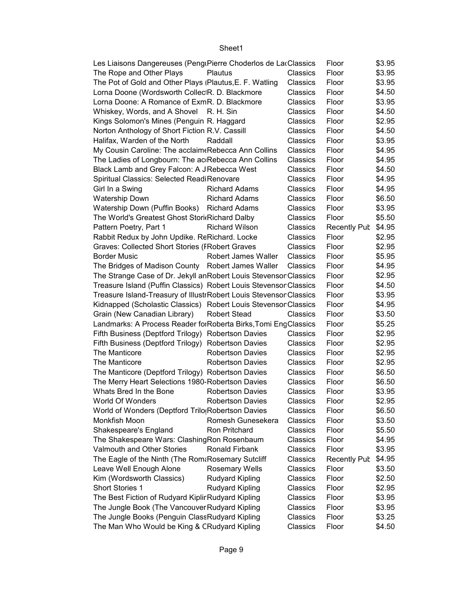| Les Liaisons Dangereuses (PengiPierre Choderlos de LacClassics    |                         |                 | Floor               | \$3.95 |
|-------------------------------------------------------------------|-------------------------|-----------------|---------------------|--------|
| The Rope and Other Plays                                          | Plautus                 | Classics        | Floor               | \$3.95 |
| The Pot of Gold and Other Plays (Plautus, E. F. Watling           |                         | Classics        | Floor               | \$3.95 |
| Lorna Doone (Wordsworth Collec R. D. Blackmore                    |                         | Classics        | Floor               | \$4.50 |
| Lorna Doone: A Romance of ExmR. D. Blackmore                      |                         | Classics        | Floor               | \$3.95 |
| Whiskey, Words, and A Shovel R. H. Sin                            |                         | Classics        | Floor               | \$4.50 |
| Kings Solomon's Mines (Penguin R. Haggard                         |                         | Classics        | Floor               | \$2.95 |
| Norton Anthology of Short Fiction R.V. Cassill                    |                         | Classics        | Floor               | \$4.50 |
| Halifax, Warden of the North                                      | Raddall                 | Classics        | Floor               | \$3.95 |
| My Cousin Caroline: The acclaim Rebecca Ann Collins               |                         | Classics        | Floor               | \$4.95 |
| The Ladies of Longbourn: The ac Rebecca Ann Collins               |                         | Classics        | Floor               | \$4.95 |
| Black Lamb and Grey Falcon: A J Rebecca West                      |                         | Classics        | Floor               | \$4.50 |
| Spiritual Classics: Selected ReadiRenovare                        |                         | Classics        | Floor               | \$4.95 |
| Girl In a Swing                                                   | <b>Richard Adams</b>    | Classics        | Floor               | \$4.95 |
| <b>Watership Down</b>                                             | <b>Richard Adams</b>    | Classics        | Floor               | \$6.50 |
| Watership Down (Puffin Books) Richard Adams                       |                         | Classics        | Floor               | \$3.95 |
| The World's Greatest Ghost Stori(Richard Dalby                    |                         | Classics        | Floor               | \$5.50 |
| Pattern Poetry, Part 1                                            | <b>Richard Wilson</b>   | Classics        | <b>Recently Pub</b> | \$4.95 |
| Rabbit Redux by John Updike. ReRichard. Locke                     |                         | Classics        | Floor               | \$2.95 |
| <b>Graves: Collected Short Stories (FRobert Graves</b>            |                         | Classics        | Floor               | \$2.95 |
| <b>Border Music</b>                                               | Robert James Waller     | Classics        | Floor               | \$5.95 |
| The Bridges of Madison County Robert James Waller                 |                         | Classics        | Floor               | \$4.95 |
| The Strange Case of Dr. Jekyll anRobert Louis StevensonClassics   |                         |                 | Floor               | \$2.95 |
| Treasure Island (Puffin Classics) Robert Louis StevensonClassics  |                         |                 | Floor               | \$4.50 |
| Treasure Island-Treasury of IllustrRobert Louis StevensonClassics |                         |                 | Floor               | \$3.95 |
| Kidnapped (Scholastic Classics) Robert Louis Stevenson Classics   |                         |                 | Floor               | \$4.95 |
| Grain (New Canadian Library)                                      | <b>Robert Stead</b>     | Classics        | Floor               | \$3.50 |
| Landmarks: A Process Reader for Roberta Birks, Tomi EngClassics   |                         |                 | Floor               | \$5.25 |
| Fifth Business (Deptford Trilogy) Robertson Davies                |                         | Classics        | Floor               | \$2.95 |
| Fifth Business (Deptford Trilogy) Robertson Davies                |                         | Classics        | Floor               | \$2.95 |
| The Manticore                                                     | <b>Robertson Davies</b> | Classics        | Floor               | \$2.95 |
| The Manticore                                                     | <b>Robertson Davies</b> | <b>Classics</b> | Floor               | \$2.95 |
| The Manticore (Deptford Trilogy) Robertson Davies                 |                         | Classics        | Floor               | \$6.50 |
| The Merry Heart Selections 1980-Robertson Davies                  |                         | Classics        | Floor               | \$6.50 |
| Whats Bred In the Bone                                            | <b>Robertson Davies</b> | Classics        | Floor               | \$3.95 |
| World Of Wonders                                                  | <b>Robertson Davies</b> | Classics        | Floor               | \$2.95 |
| World of Wonders (Deptford Trilo(Robertson Davies                 |                         | Classics        | Floor               | \$6.50 |
| Monkfish Moon                                                     | Romesh Gunesekera       | Classics        | Floor               | \$3.50 |
| Shakespeare's England                                             | Ron Pritchard           | Classics        | Floor               | \$5.50 |
| The Shakespeare Wars: ClashingRon Rosenbaum                       |                         | Classics        | Floor               | \$4.95 |
| Valmouth and Other Stories                                        | Ronald Firbank          | Classics        | Floor               | \$3.95 |
| The Eagle of the Ninth (The Rom&Rosemary Sutcliff                 |                         | Classics        | <b>Recently Pub</b> | \$4.95 |
| Leave Well Enough Alone                                           | <b>Rosemary Wells</b>   | Classics        | Floor               | \$3.50 |
| Kim (Wordsworth Classics)                                         | <b>Rudyard Kipling</b>  | Classics        | Floor               | \$2.50 |
| Short Stories 1                                                   | <b>Rudyard Kipling</b>  | Classics        | Floor               | \$2.95 |
| The Best Fiction of Rudyard Kiplir Rudyard Kipling                |                         | Classics        | Floor               | \$3.95 |
| The Jungle Book (The Vancouver Rudyard Kipling                    |                         | Classics        | Floor               | \$3.95 |
| The Jungle Books (Penguin Class Rudyard Kipling                   |                         | Classics        | Floor               | \$3.25 |
| The Man Who Would be King & CRudyard Kipling                      |                         | Classics        | Floor               | \$4.50 |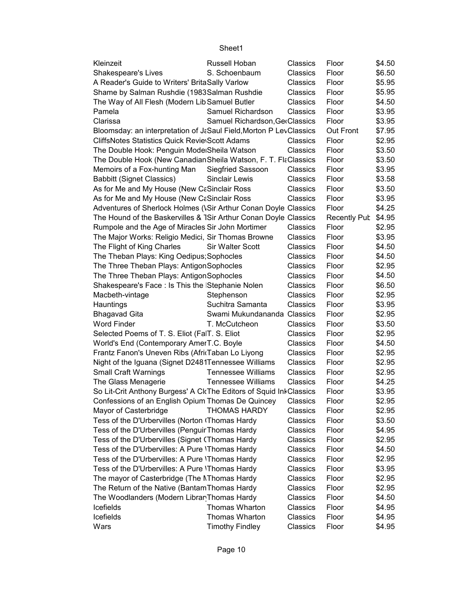| Kleinzeit                                                          | Russell Hoban                  | Classics | Floor        | \$4.50 |
|--------------------------------------------------------------------|--------------------------------|----------|--------------|--------|
| Shakespeare's Lives                                                | S. Schoenbaum                  | Classics | Floor        | \$6.50 |
| A Reader's Guide to Writers' BritaSally Varlow                     |                                | Classics | Floor        | \$5.95 |
| Shame by Salman Rushdie (1983Salman Rushdie                        |                                | Classics | Floor        | \$5.95 |
| The Way of All Flesh (Modern Lib Samuel Butler                     |                                | Classics | Floor        | \$4.50 |
| Pamela                                                             | Samuel Richardson              | Classics | Floor        | \$3.95 |
| Clarissa                                                           | Samuel Richardson, GerClassics |          | Floor        | \$3.95 |
| Bloomsday: an interpretation of J&Saul Field, Morton P LevClassics |                                |          | Out Front    | \$7.95 |
| <b>CliffsNotes Statistics Quick Revie Scott Adams</b>              |                                | Classics | Floor        | \$2.95 |
| The Double Hook: Penguin Mode Sheila Watson                        |                                | Classics | Floor        | \$3.50 |
| The Double Hook (New Canadian Sheila Watson, F. T. FlaClassics     |                                |          | Floor        | \$3.50 |
| Memoirs of a Fox-hunting Man Siegfried Sassoon                     |                                | Classics | Floor        | \$3.95 |
| <b>Babbitt (Signet Classics)</b>                                   | Sinclair Lewis                 | Classics | Floor        | \$3.58 |
| As for Me and My House (New CaSinclair Ross                        |                                | Classics | Floor        | \$3.50 |
|                                                                    |                                |          |              |        |
| As for Me and My House (New CaSinclair Ross                        |                                | Classics | Floor        | \$3.95 |
| Adventures of Sherlock Holmes (\Sir Arthur Conan Doyle Classics    |                                |          | Floor        | \$4.25 |
| The Hound of the Baskervilles & TSir Arthur Conan Doyle Classics   |                                |          | Recently Pub | \$4.95 |
| Rumpole and the Age of Miracles Sir John Mortimer                  |                                | Classics | Floor        | \$2.95 |
| The Major Works: Religio Medici, Sir Thomas Browne                 |                                | Classics | Floor        | \$3.95 |
| The Flight of King Charles                                         | <b>Sir Walter Scott</b>        | Classics | Floor        | \$4.50 |
| The Theban Plays: King Oedipus; Sophocles                          |                                | Classics | Floor        | \$4.50 |
| The Three Theban Plays: AntigonSophocles                           |                                | Classics | Floor        | \$2.95 |
| The Three Theban Plays: AntigonSophocles                           |                                | Classics | Floor        | \$4.50 |
| Shakespeare's Face: Is This the Stephanie Nolen                    |                                | Classics | Floor        | \$6.50 |
| Macbeth-vintage                                                    | Stephenson                     | Classics | Floor        | \$2.95 |
| Hauntings                                                          | Suchitra Samanta               | Classics | Floor        | \$3.95 |
| <b>Bhagavad Gita</b>                                               | Swami Mukundananda Classics    |          | Floor        | \$2.95 |
| <b>Word Finder</b>                                                 | T. McCutcheon                  | Classics | Floor        | \$3.50 |
| Selected Poems of T. S. Eliot (FalT. S. Eliot                      |                                | Classics | Floor        | \$2.95 |
| World's End (Contemporary AmerT.C. Boyle                           |                                | Classics | Floor        | \$4.50 |
| Frantz Fanon's Uneven Ribs (AfricTaban Lo Liyong                   |                                | Classics | Floor        | \$2.95 |
| Night of the Iguana (Signet D2481Tennessee Williams                |                                | Classics | Floor        | \$2.95 |
| <b>Small Craft Warnings</b>                                        | <b>Tennessee Williams</b>      | Classics | Floor        | \$2.95 |
| The Glass Menagerie                                                | <b>Tennessee Williams</b>      | Classics | Floor        | \$4.25 |
| So Lit-Crit Anthony Burgess' A CkThe Editors of Squid InkClassics  |                                |          | Floor        | \$3.95 |
| Confessions of an English Opium Thomas De Quincey                  |                                | Classics | Floor        | \$2.95 |
| Mayor of Casterbridge                                              | <b>THOMAS HARDY</b>            | Classics | Floor        | \$2.95 |
| Tess of the D'Urbervilles (Norton (Thomas Hardy                    |                                | Classics | Floor        | \$3.50 |
| Tess of the D'Urbervilles (Penguir Thomas Hardy                    |                                | Classics | Floor        | \$4.95 |
| Tess of the D'Urbervilles (Signet (Thomas Hardy                    |                                | Classics | Floor        | \$2.95 |
| Tess of the D'Urbervilles: A Pure 'Thomas Hardy                    |                                | Classics | Floor        | \$4.50 |
| Tess of the D'Urbervilles: A Pure 'Thomas Hardy                    |                                | Classics | Floor        | \$2.95 |
| Tess of the D'Urbervilles: A Pure 'Thomas Hardy                    |                                |          |              | \$3.95 |
|                                                                    |                                | Classics | Floor        |        |
| The mayor of Casterbridge (The NThomas Hardy                       |                                | Classics | Floor        | \$2.95 |
| The Return of the Native (Bantam Thomas Hardy                      |                                | Classics | Floor        | \$2.95 |
| The Woodlanders (Modern Librar Thomas Hardy                        |                                | Classics | Floor        | \$4.50 |
| Icefields                                                          | Thomas Wharton                 | Classics | Floor        | \$4.95 |
| Icefields                                                          | Thomas Wharton                 | Classics | Floor        | \$4.95 |
| Wars                                                               | <b>Timothy Findley</b>         | Classics | Floor        | \$4.95 |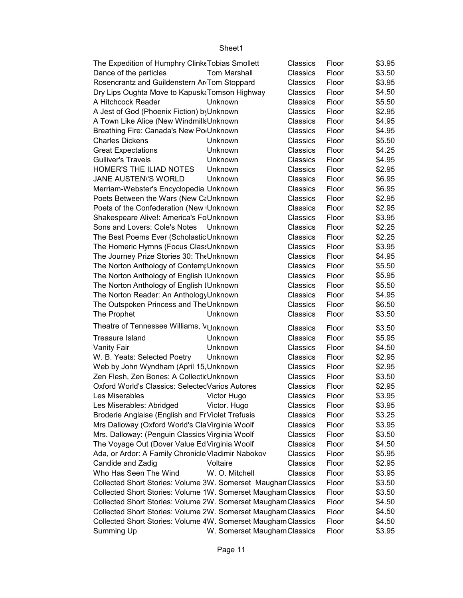| The Expedition of Humphry Clink Tobias Smollett               | Classics                     | Floor | \$3.95 |  |
|---------------------------------------------------------------|------------------------------|-------|--------|--|
| Dance of the particles<br><b>Tom Marshall</b>                 | Classics                     | Floor | \$3.50 |  |
| Rosencrantz and Guildenstern AnTom Stoppard                   | <b>Classics</b>              | Floor | \$3.95 |  |
| Dry Lips Oughta Move to Kapusk Tomson Highway                 | Classics                     | Floor | \$4.50 |  |
| A Hitchcock Reader<br>Unknown                                 | Classics                     | Floor | \$5.50 |  |
| A Jest of God (Phoenix Fiction) by Unknown                    | Classics                     | Floor | \$2.95 |  |
| A Town Like Alice (New WindmillsUnknown                       | Classics                     | Floor | \$4.95 |  |
| Breathing Fire: Canada's New Po <sub>'</sub> Unknown          | Classics                     | Floor | \$4.95 |  |
| <b>Charles Dickens</b><br>Unknown                             | Classics                     | Floor | \$5.50 |  |
| <b>Great Expectations</b><br>Unknown                          | Classics                     | Floor | \$4.25 |  |
| <b>Gulliver's Travels</b><br>Unknown                          | Classics                     | Floor | \$4.95 |  |
| HOMER'S THE ILIAD NOTES<br>Unknown                            | Classics                     | Floor | \$2.95 |  |
| JANE AUSTENI'S WORLD<br>Unknown                               | Classics                     | Floor | \$6.95 |  |
| Merriam-Webster's Encyclopedia Unknown                        | Classics                     | Floor | \$6.95 |  |
| Poets Between the Wars (New CaUnknown                         | Classics                     | Floor | \$2.95 |  |
| Poets of the Confederation (New Unknown                       | Classics                     | Floor | \$2.95 |  |
| Shakespeare Alive!: America's FoUnknown                       | Classics                     | Floor | \$3.95 |  |
| Sons and Lovers: Cole's Notes Unknown                         | Classics                     | Floor | \$2.25 |  |
| The Best Poems Ever (Scholastic Unknown                       | Classics                     | Floor | \$2.25 |  |
| The Homeric Hymns (Focus Clas: Unknown                        | Classics                     | Floor | \$3.95 |  |
| The Journey Prize Stories 30: The Unknown                     | Classics                     | Floor | \$4.95 |  |
| The Norton Anthology of ContempUnknown                        | Classics                     | Floor | \$5.50 |  |
| The Norton Anthology of English IUnknown                      | Classics                     | Floor | \$5.95 |  |
| The Norton Anthology of English IUnknown                      | Classics                     | Floor | \$5.50 |  |
| The Norton Reader: An Anthology Unknown                       | Classics                     | Floor | \$4.95 |  |
| The Outspoken Princess and The Unknown                        | Classics                     | Floor | \$6.50 |  |
| The Prophet<br>Unknown                                        | Classics                     | Floor | \$3.50 |  |
| Theatre of Tennessee Williams, VUnknown                       | Classics                     | Floor | \$3.50 |  |
| <b>Treasure Island</b><br>Unknown                             | Classics                     | Floor | \$5.95 |  |
| Unknown<br><b>Vanity Fair</b>                                 | Classics                     | Floor | \$4.50 |  |
| W. B. Yeats: Selected Poetry<br>Unknown                       | Classics                     | Floor | \$2.95 |  |
| Web by John Wyndham (April 15, Unknown                        | Classics                     | Floor | \$2.95 |  |
| Zen Flesh, Zen Bones: A CollecticUnknown                      | Classics                     | Floor | \$3.50 |  |
| Oxford World's Classics: Selected Varios Autores              | Classics                     | Floor | \$2.95 |  |
| Les Miserables <b>Miserables</b> Victor Hugo                  | Classics                     | Floor | \$3.95 |  |
| Les Miserables: Abridged<br>Victor. Hugo                      | Classics                     | Floor | \$3.95 |  |
| Broderie Anglaise (English and FrViolet Trefusis              | Classics                     | Floor | \$3.25 |  |
| Mrs Dalloway (Oxford World's ClaVirginia Woolf                | Classics                     | Floor | \$3.95 |  |
| Mrs. Dalloway: (Penguin Classics Virginia Woolf               | Classics                     | Floor | \$3.50 |  |
| The Voyage Out (Dover Value Ed Virginia Woolf                 | Classics                     | Floor | \$4.50 |  |
| Ada, or Ardor: A Family Chronicle Vladimir Nabokov            | Classics                     | Floor | \$5.95 |  |
| Candide and Zadig<br>Voltaire                                 | Classics                     | Floor | \$2.95 |  |
| Who Has Seen The Wind<br>W. O. Mitchell                       | Classics                     | Floor | \$3.95 |  |
| Collected Short Stories: Volume 3W. Somerset Maughan Classics |                              | Floor | \$3.50 |  |
| Collected Short Stories: Volume 1W. Somerset Maugham Classics |                              | Floor | \$3.50 |  |
| Collected Short Stories: Volume 2W. Somerset Maugham Classics |                              | Floor | \$4.50 |  |
| Collected Short Stories: Volume 2W. Somerset Maugham Classics |                              | Floor | \$4.50 |  |
| Collected Short Stories: Volume 4W. Somerset Maugham Classics |                              | Floor | \$4.50 |  |
| Summing Up                                                    | W. Somerset Maugham Classics | Floor | \$3.95 |  |
|                                                               |                              |       |        |  |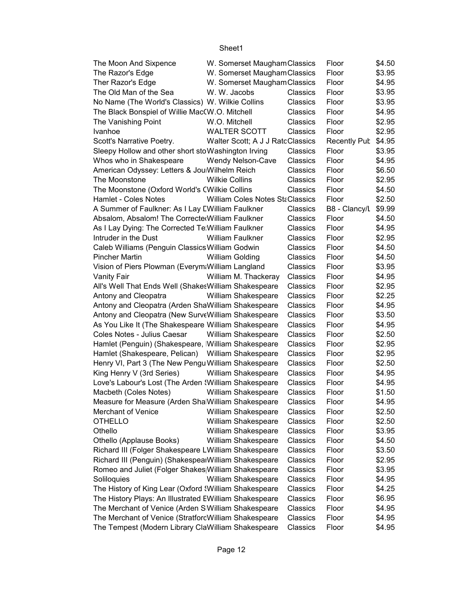|                                                        |                                              |          | Floor               |                  |
|--------------------------------------------------------|----------------------------------------------|----------|---------------------|------------------|
| The Moon And Sixpence                                  | W. Somerset Maugham Classics                 |          | Floor               | \$4.50<br>\$3.95 |
| The Razor's Edge<br>Ther Razor's Edge                  | W. Somerset Maugham Classics                 |          | Floor               |                  |
| The Old Man of the Sea                                 | W. Somerset Maugham Classics<br>W. W. Jacobs |          | Floor               | \$4.95           |
|                                                        |                                              | Classics |                     | \$3.95<br>\$3.95 |
| No Name (The World's Classics) W. Wilkie Collins       |                                              | Classics | Floor               |                  |
| The Black Bonspiel of Willie Mac(W.O. Mitchell         |                                              | Classics | Floor               | \$4.95           |
| The Vanishing Point                                    | W.O. Mitchell                                | Classics | Floor               | \$2.95           |
| Ivanhoe                                                | <b>WALTER SCOTT</b>                          | Classics | Floor               | \$2.95           |
| Scott's Narrative Poetry.                              | Walter Scott; A J J RatcClassics             |          | <b>Recently Pub</b> | \$4.95           |
| Sleepy Hollow and other short stoWashington Irving     |                                              | Classics | Floor               | \$3.95           |
| Whos who in Shakespeare                                | Wendy Nelson-Cave                            | Classics | Floor               | \$4.95           |
| American Odyssey: Letters & Jou Wilhelm Reich          |                                              | Classics | Floor               | \$6.50           |
| The Moonstone                                          | <b>Wilkie Collins</b>                        | Classics | Floor               | \$2.95           |
| The Moonstone (Oxford World's CWilkie Collins          |                                              | Classics | Floor               | \$4.50           |
| Hamlet - Coles Notes                                   | William Coles Notes StaClassics              |          | Floor               | \$2.50           |
| A Summer of Faulkner: As I Lay EWilliam Faulkner       |                                              | Classics | B8 - Clancy/L       | \$9.99           |
| Absalom, Absalom! The Correcte William Faulkner        |                                              | Classics | Floor               | \$4.50           |
| As I Lay Dying: The Corrected Te William Faulkner      |                                              | Classics | Floor               | \$4.95           |
| Intruder in the Dust                                   | <b>William Faulkner</b>                      | Classics | Floor               | \$2.95           |
| Caleb Williams (Penguin Classics William Godwin        |                                              | Classics | Floor               | \$4.50           |
| <b>Pincher Martin</b>                                  | <b>William Golding</b>                       | Classics | Floor               | \$4.50           |
| Vision of Piers Plowman (Everym: William Langland      |                                              | Classics | Floor               | \$3.95           |
| Vanity Fair                                            | William M. Thackeray                         | Classics | Floor               | \$4.95           |
| All's Well That Ends Well (Shakes William Shakespeare  |                                              | Classics | Floor               | \$2.95           |
| Antony and Cleopatra                                   | William Shakespeare                          | Classics | Floor               | \$2.25           |
| Antony and Cleopatra (Arden ShaWilliam Shakespeare     |                                              | Classics | Floor               | \$4.95           |
| Antony and Cleopatra (New SurveWilliam Shakespeare     |                                              | Classics | Floor               | \$3.50           |
| As You Like It (The Shakespeare William Shakespeare    |                                              | Classics | Floor               | \$4.95           |
| Coles Notes - Julius Caesar                            | William Shakespeare                          | Classics | Floor               | \$2.50           |
| Hamlet (Penguin) (Shakespeare, William Shakespeare     |                                              | Classics | Floor               | \$2.95           |
| Hamlet (Shakespeare, Pelican) William Shakespeare      |                                              | Classics | Floor               | \$2.95           |
| Henry VI, Part 3 (The New Pengu William Shakespeare    |                                              | Classics | Floor               | \$2.50           |
| King Henry V (3rd Series)                              | <b>William Shakespeare</b>                   | Classics | Floor               | \$4.95           |
| Love's Labour's Lost (The Arden : William Shakespeare  |                                              | Classics | Floor               | \$4.95           |
|                                                        |                                              |          |                     | \$1.50           |
| Macbeth (Coles Notes)                                  | William Shakespeare                          | Classics | Floor               |                  |
| Measure for Measure (Arden Sha William Shakespeare     |                                              | Classics | Floor               | \$4.95           |
| <b>Merchant of Venice</b>                              | William Shakespeare                          | Classics | Floor               | \$2.50           |
| <b>OTHELLO</b>                                         | William Shakespeare                          | Classics | Floor               | \$2.50           |
| Othello                                                | William Shakespeare                          | Classics | Floor               | \$3.95           |
| Othello (Applause Books)                               | William Shakespeare                          | Classics | Floor               | \$4.50           |
| Richard III (Folger Shakespeare LWilliam Shakespeare   |                                              | Classics | Floor               | \$3.50           |
| Richard III (Penguin) (ShakespealWilliam Shakespeare   |                                              | Classics | Floor               | \$2.95           |
| Romeo and Juliet (Folger Shakes William Shakespeare    |                                              | Classics | Floor               | \$3.95           |
| Soliloquies                                            | William Shakespeare                          | Classics | Floor               | \$4.95           |
| The History of King Lear (Oxford William Shakespeare   |                                              | Classics | Floor               | \$4.25           |
| The History Plays: An Illustrated EWilliam Shakespeare |                                              | Classics | Floor               | \$6.95           |
| The Merchant of Venice (Arden S William Shakespeare    |                                              | Classics | Floor               | \$4.95           |
| The Merchant of Venice (StratforcWilliam Shakespeare   |                                              | Classics | Floor               | \$4.95           |
| The Tempest (Modern Library ClaWilliam Shakespeare     |                                              | Classics | Floor               | \$4.95           |